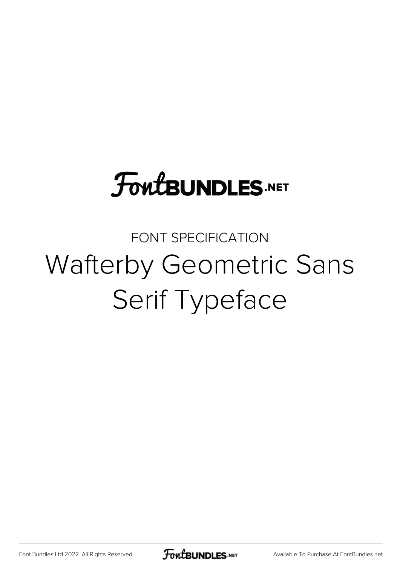## **FoutBUNDLES.NET**

### FONT SPECIFICATION Wafterby Geometric Sans Serif Typeface

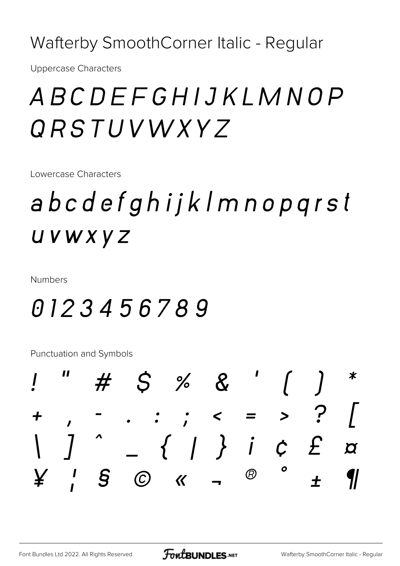Wafterby SmoothCorner Italic - Regular

**Uppercase Characters** 

### ABCDEFGHIJKLMNOP ORSTUVWXYZ

Lowercase Characters

## abcdefghijklmnopqrst UVWXYZ

**Numbers** 

### 0123456789

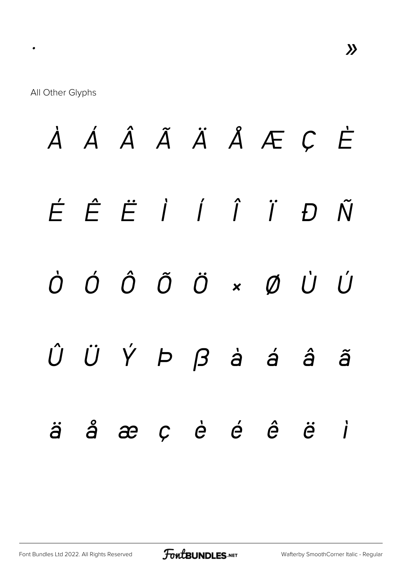*À Á Â Ã Ä Å Æ Ç È É Ê Ë Ì Í Î Ï Ð Ñ Ò Ó Ô Õ Ö × Ø Ù Ú Û Ü Ý Þ ß à á â ã ä å æ ç è é ê ë ì*

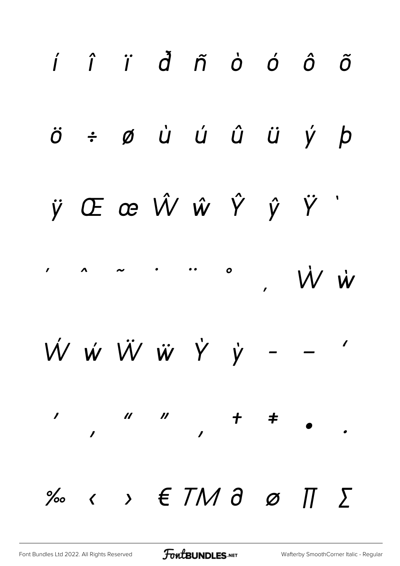

**FoutBUNDLES**.NET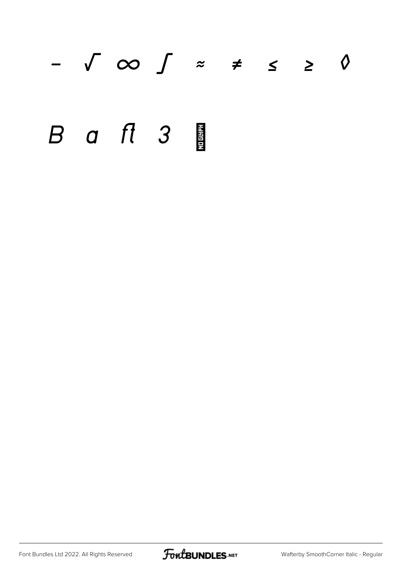# *− √ ∞ ∫ ≈ ≠ ≤ ≥ ◊* B a ft 3

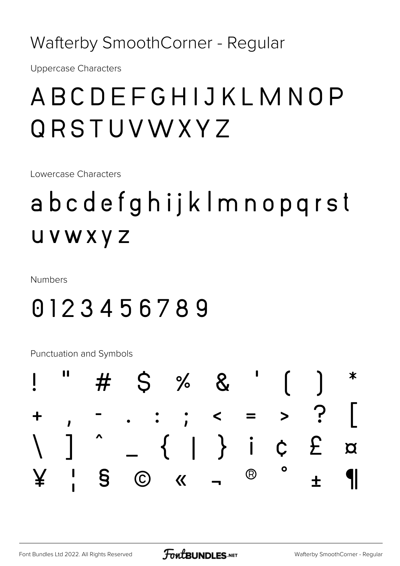### Wafterby SmoothCorner - Regular

**Uppercase Characters** 

### ABCDEFGHIJKLMNOP **QRSTUVWXYZ**

Lowercase Characters

## abcdefghijklmnopqrst **UVWXYZ**

**Numbers** 

### 0123456789

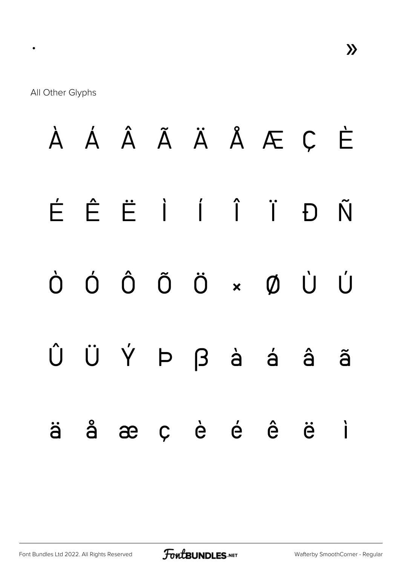À Á Â Ã Ä Å Æ Ç È É Ê Ë Ì Í Î Ï Ð Ñ Ò Ó Ô Õ Ö × Ø Ù Ú Û Ü Ý Þ ß à á â ã ä å æ ç è é ê ë ì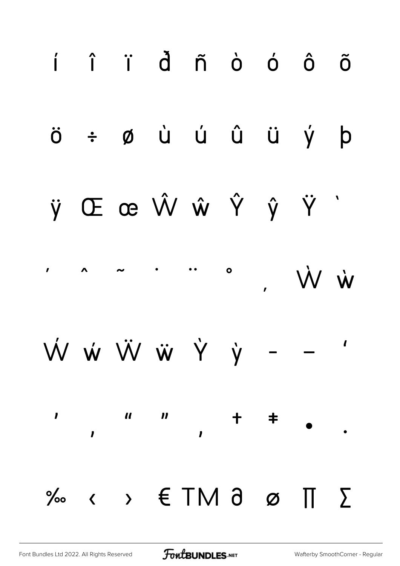

**FoutBUNDLES**.NET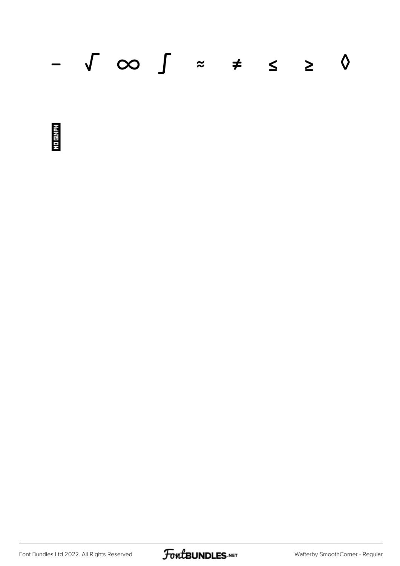### − √ ∞ ∫ ≈ ≠ ≤ ≥ ◊



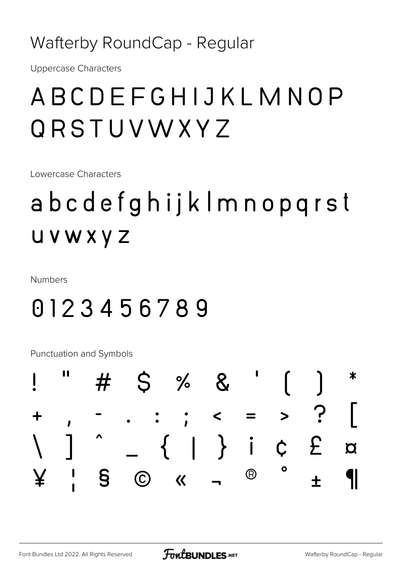Wafterby RoundCap - Regular

**Uppercase Characters** 

### ABCDEFGHIJKLMNOP ORSTUVWXYZ

Lowercase Characters

## abcdefghijklmnopqrst **UVWXYZ**

**Numbers** 

### 0123456789

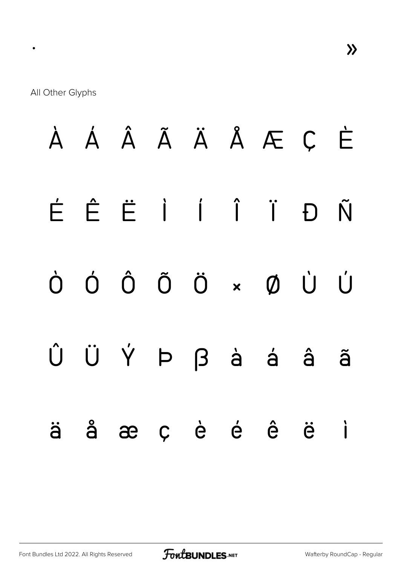À Á Â Ã Ä Å Æ Ç È É Ê Ë Ì Í Î Ï Ð Ñ Ò Ó Ô Õ Ö × Ø Ù Ú Û Ü Ý Þ ß à á â ã ä å æ ç è é ê ë ì

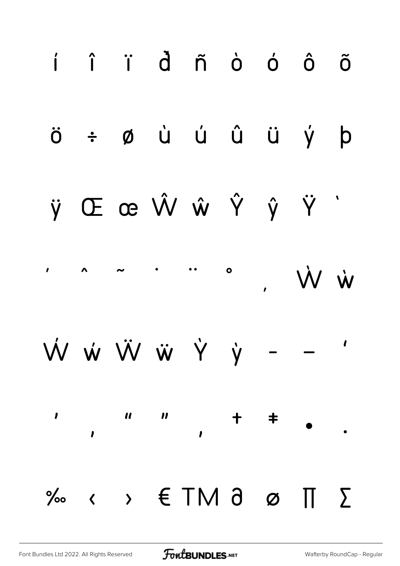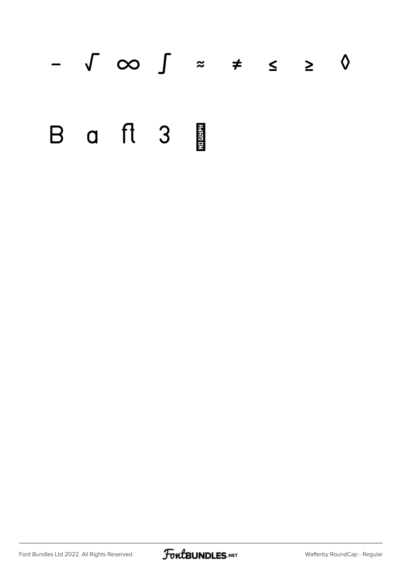# − √ ∞ ∫ ≈ ≠ ≤ ≥ ◊ B a ft 3

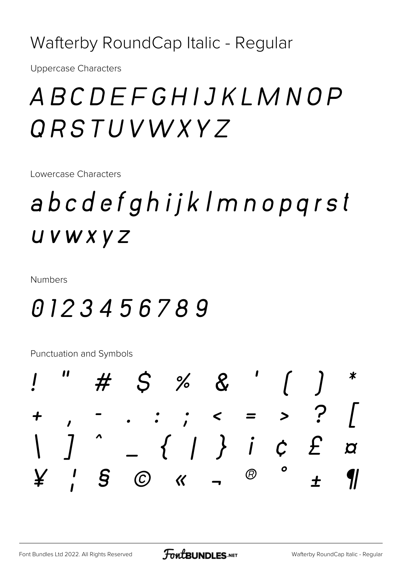Wafterby RoundCap Italic - Regular

**Uppercase Characters** 

### ABCDEFGHIJKLMNOP ORSTUVWXYZ

Lowercase Characters

## abcdefghijklmnopqrst UVWXYZ

**Numbers** 

### 0123456789

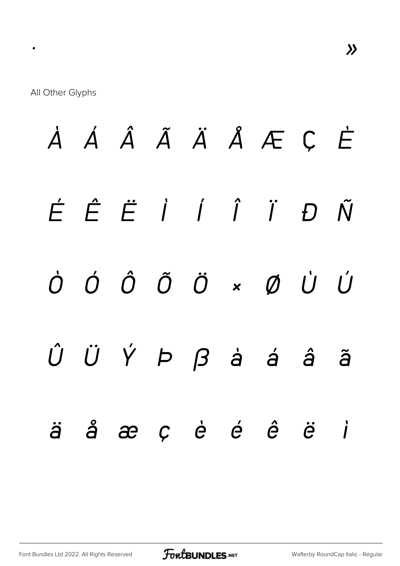*À Á Â Ã Ä Å Æ Ç È É Ê Ë Ì Í Î Ï Ð Ñ Ò Ó Ô Õ Ö × Ø Ù Ú Û Ü Ý Þ ß à á â ã ä å æ ç è é ê ë ì*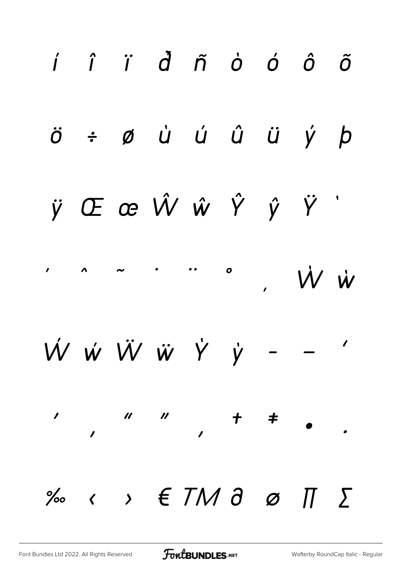

**FoutBUNDLES**.NET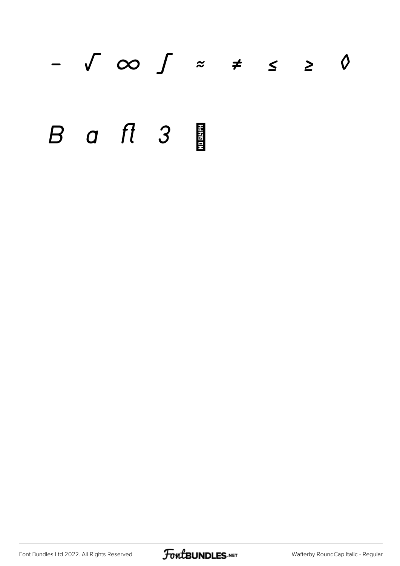# *− √ ∞ ∫ ≈ ≠ ≤ ≥ ◊* B a ft 3

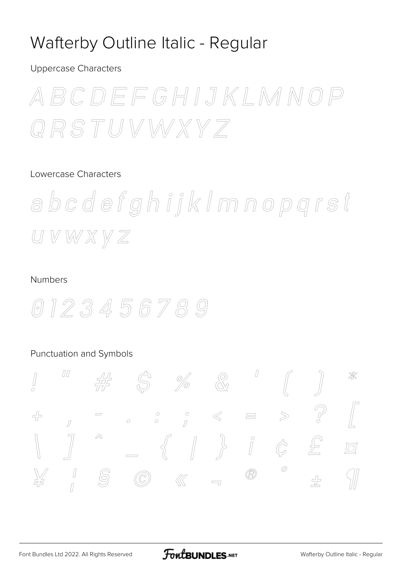### Wafterby Outline Italic - Regular

**Uppercase Characters** 

ABCDEFGHIJKLMNOP QRSTUVWXYZ

#### Lowercase Characters

abcdefghijkImnopgrst  $U V W X V Z$ 

#### **Numbers**



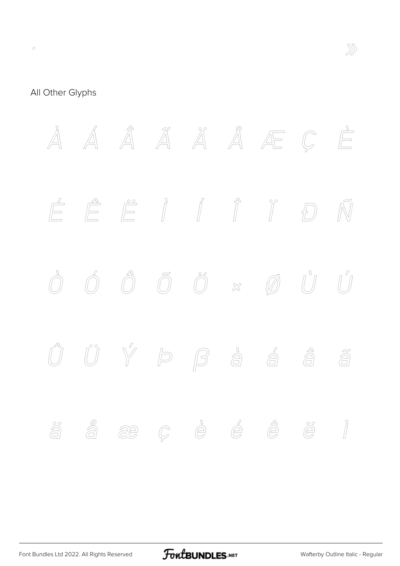

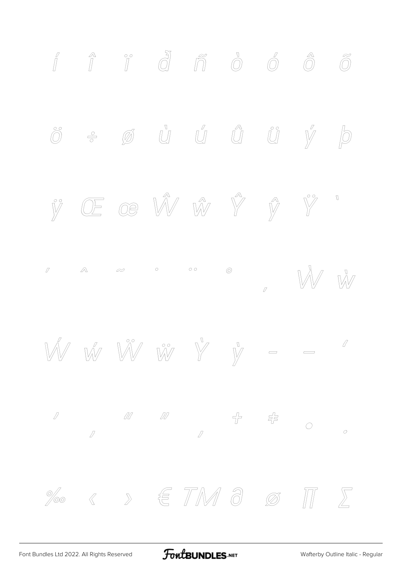

FontBUNDLES.NET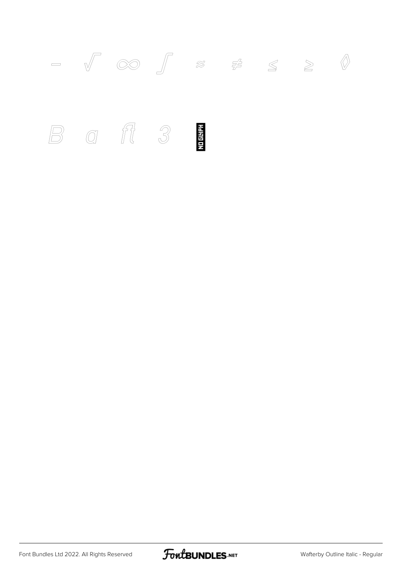

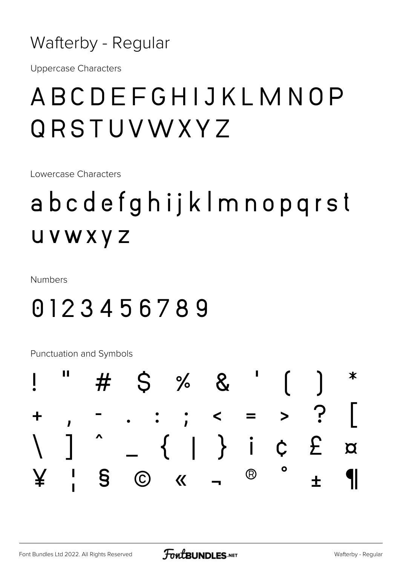

**Uppercase Characters** 

### ABCDEFGHIJKLMNOP ORSTUVWXYZ

Lowercase Characters

## abcdefghijkImnopqrst **UVWXYZ**

**Numbers** 

### 0123456789

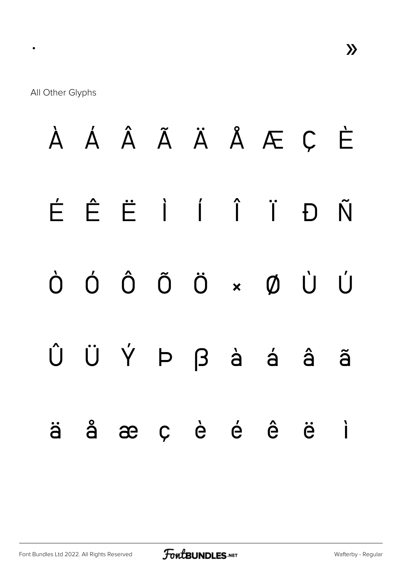$\bullet$ 

À Á Â Ã Ä Å Æ Ç È ÊËÌÍÎÏ Đ É Ñ Ó Ô Õ Ö  $\bigcup$ ØÙ  $\bigcap$  $\overline{\mathbf{x}}$ ÜÝÞβàá Û â ã ç è é ê å æ ë  $\overrightarrow{1}$ ä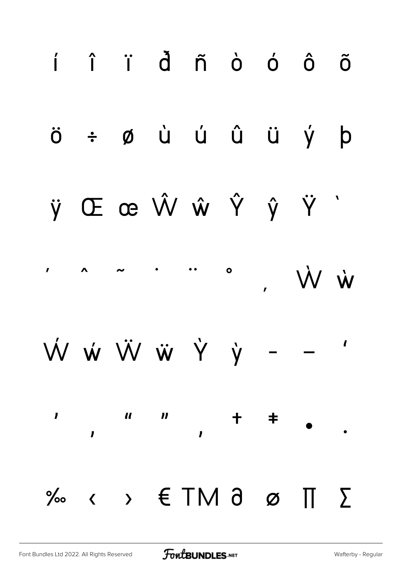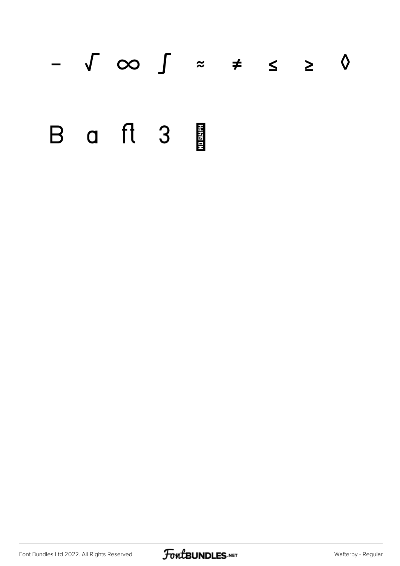# − √ ∞ ∫ ≈ ≠ ≤ ≥ ◊ B a ft 3

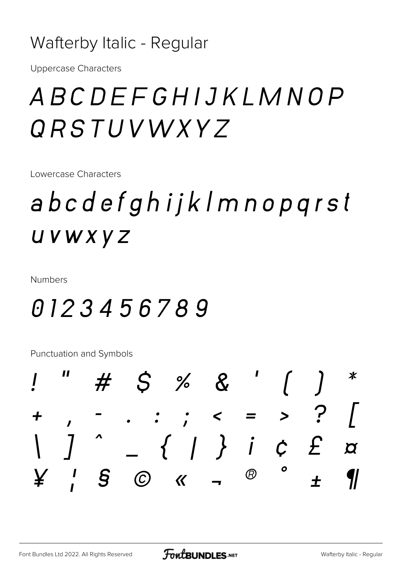### Wafterby Italic - Regular

**Uppercase Characters** 

### ABCDEFGHIJKLMNOP *QRSTUVWXY7*

Lowercase Characters

## abcdefghijklmnopqrst UVWXYZ

**Numbers** 

### 0123456789

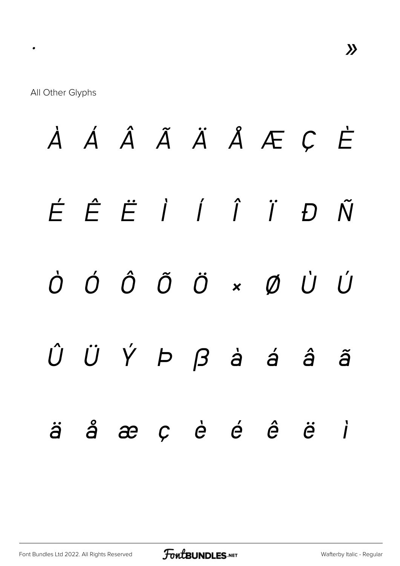À Á Â Ã Ä Å Æ Ç È  $\acute{E}$   $\acute{E}$   $\acute{E}$   $\acute{I}$   $\acute{I}$   $\acute{I}$  $D \tilde{N}$  $\dot{\mathcal{O}}$   $\dot{\mathcal{O}}$   $\dot{\mathcal{O}}$   $\ddot{\mathcal{O}}$   $\dot{\mathcal{O}}$   $\dot{\mathcal{O}}$   $\dot{\mathcal{O}}$   $\dot{\mathcal{O}}$   $\dot{\mathcal{O}}$  $\hat{U}$   $\hat{U}$   $\hat{Y}$   $\hat{P}$   $\hat{B}$   $\hat{a}$   $\hat{a}$ â ã å æ ç è é ê ë  $\overrightarrow{I}$  $\ddot{\partial}$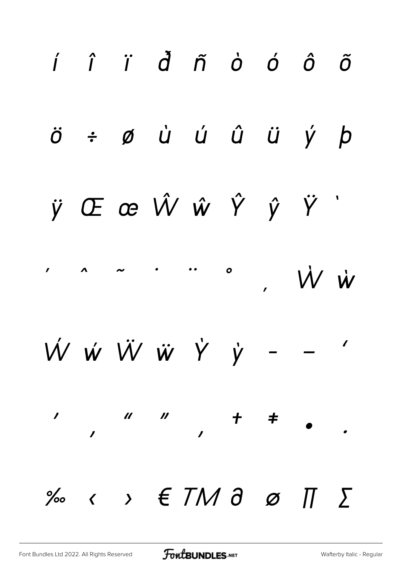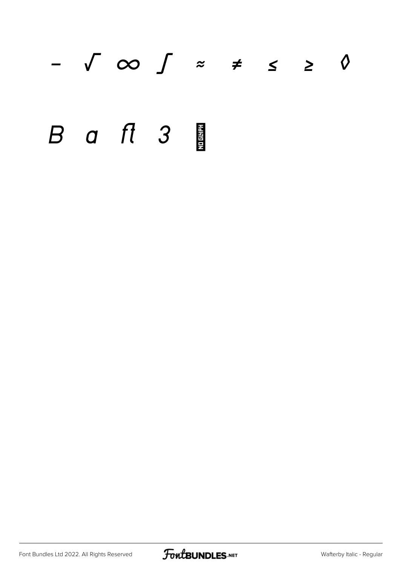# *− √ ∞ ∫ ≈ ≠ ≤ ≥ ◊* B a ft 3

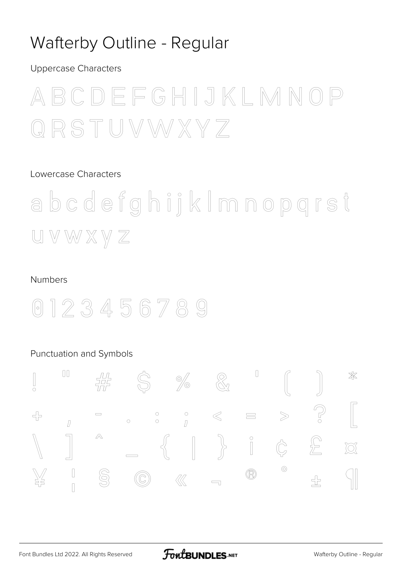### Wafterby Outline - Regular

**Uppercase Characters** 



#### Lowercase Characters

abcdefghijkImnopgrst  $U V W X Y Z$ 

#### **Numbers**

0123456789

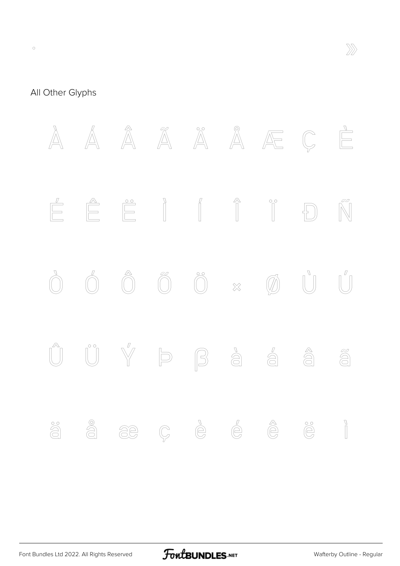

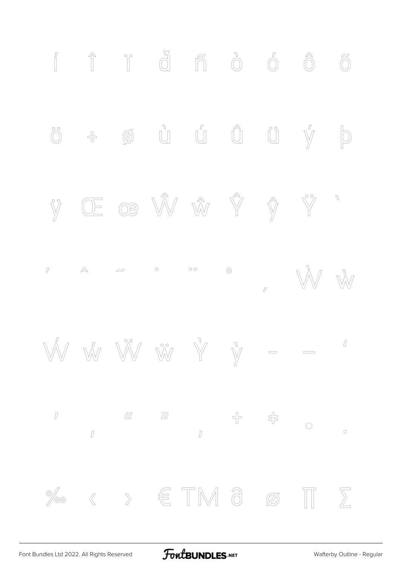